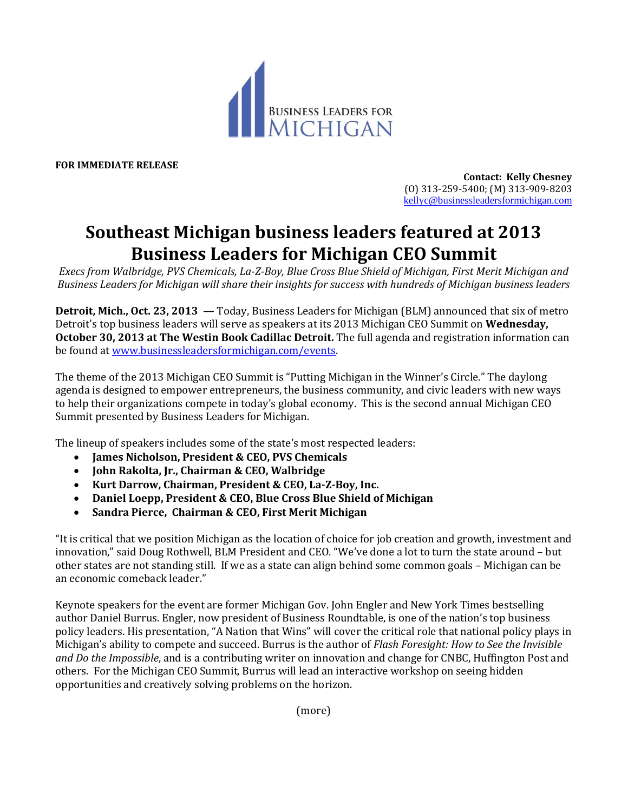

**FOR IMMEDIATE RELEASE**

**Contact: Kelly Chesney** (O) 313-259-5400; (M) 313-909-8203 [kellyc@businessleadersformichigan.com](mailto:kellyc@businessleadersformichigan.com)

## **Southeast Michigan business leaders featured at 2013 Business Leaders for Michigan CEO Summit**

*Execs from Walbridge, PVS Chemicals, La-Z-Boy, Blue Cross Blue Shield of Michigan, First Merit Michigan and Business Leaders for Michigan will share their insights for success with hundreds of Michigan business leaders*

**Detroit, Mich., Oct. 23, 2013** — Today, Business Leaders for Michigan (BLM) announced that six of metro Detroit's top business leaders will serve as speakers at its 2013 Michigan CEO Summit on **Wednesday, October 30, 2013 at The Westin Book Cadillac Detroit.** The full agenda and registration information can be found at [www.businessleadersformichigan.com/events.](http://www.businessleadersformichigan.com/events)

The theme of the 2013 Michigan CEO Summit is "Putting Michigan in the Winner's Circle." The daylong agenda is designed to empower entrepreneurs, the business community, and civic leaders with new ways to help their organizations compete in today's global economy. This is the second annual Michigan CEO Summit presented by Business Leaders for Michigan.

The lineup of speakers includes some of the state's most respected leaders:

- **James Nicholson, President & CEO, PVS Chemicals**
- **John Rakolta, Jr., Chairman & CEO, Walbridge**
- **Kurt Darrow, Chairman, President & CEO, La-Z-Boy, Inc.**
- **Daniel Loepp, President & CEO, Blue Cross Blue Shield of Michigan**
- **Sandra Pierce, Chairman & CEO, First Merit Michigan**

"It is critical that we position Michigan as the location of choice for job creation and growth, investment and innovation," said Doug Rothwell, BLM President and CEO. "We've done a lot to turn the state around – but other states are not standing still. If we as a state can align behind some common goals – Michigan can be an economic comeback leader."

Keynote speakers for the event are former Michigan Gov. John Engler and New York Times bestselling author Daniel Burrus. Engler, now president of Business Roundtable, is one of the nation's top business policy leaders. His presentation, "A Nation that Wins" will cover the critical role that national policy plays in Michigan's ability to compete and succeed. Burrus is the author of *Flash Foresight: How to See the Invisible and Do the Impossible*, and is a contributing writer on innovation and change for CNBC, Huffington Post and others. For the Michigan CEO Summit, Burrus will lead an interactive workshop on seeing hidden opportunities and creatively solving problems on the horizon.

(more)